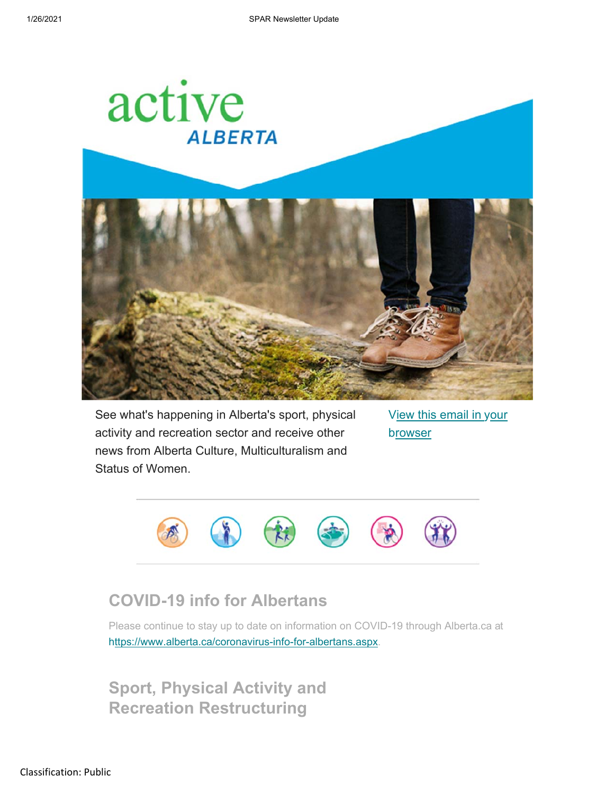

See what's happening in Alberta's sport, physical activity and recreation sector and receive other news from Alberta Culture, Multiculturalism and Status of Women.

View this email in your browser



## **COVID-19 info for Albertans**

Please continue to stay up to date on information on COVID-19 through Alberta.ca at h ttps://www.alberta.ca/coronavirus-info-for-albertans.aspx.

**Sport, Physical Activity and Recreation Restructuring**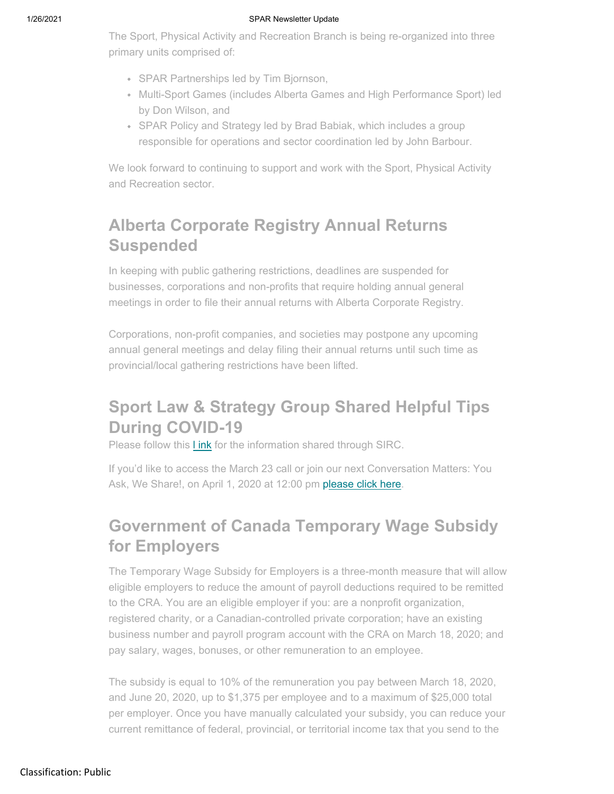#### 1/26/2021 SPAR Newsletter Update

The Sport, Physical Activity and Recreation Branch is being re-organized into three primary units comprised of:

- SPAR Partnerships led by Tim Bjornson,
- Multi-Sport Games (includes Alberta Games and High Performance Sport) led by Don Wilson, and
- SPAR Policy and Strategy led by Brad Babiak, which includes a group responsible for operations and sector coordination led by John Barbour.

We look forward to continuing to support and work with the Sport, Physical Activity and Recreation sector.

# **Alberta Corporate Registry Annual Returns Suspended**

In keeping with public gathering restrictions, deadlines are suspended for businesses, corporations and non-profits that require holding annual general meetings in order to file their annual returns with Alberta Corporate Registry.

Corporations, non-profit companies, and societies may postpone any upcoming annual general meetings and delay filing their annual returns until such time as provincial/local gathering restrictions have been lifted.

# **Sport Law & Strategy Group Shared Helpful Tips During COVID-19**

Please follow this **Link** for the information shared through SIRC.

If you'd like to access the March 23 call or join our next Conversation Matters: You Ask, We Share!, on April 1, 2020 at 12:00 pm please click here.

# **Government of Canada Temporary Wage Subsidy for Employers**

The Temporary Wage Subsidy for Employers is a three-month measure that will allow eligible employers to reduce the amount of payroll deductions required to be remitted to the CRA. You are an eligible employer if you: are a nonprofit organization, registered charity, or a Canadian-controlled private corporation; have an existing business number and payroll program account with the CRA on March 18, 2020; and pay salary, wages, bonuses, or other remuneration to an employee.

The subsidy is equal to 10% of the remuneration you pay between March 18, 2020, and June 20, 2020, up to \$1,375 per employee and to a maximum of \$25,000 total per employer. Once you have manually calculated your subsidy, you can reduce your current remittance of federal, provincial, or territorial income tax that you send to the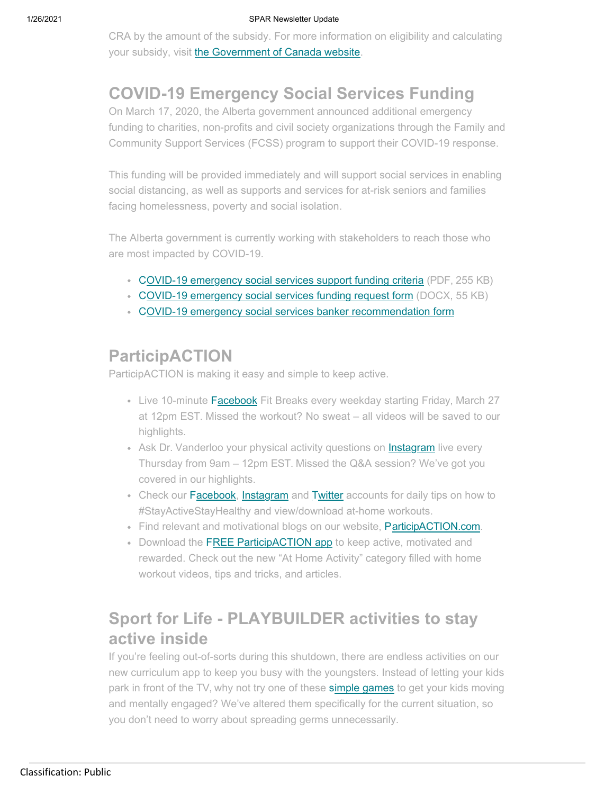CRA by the amount of the subsidy. For more information on eligibility and calculating your subsidy, visit the Government of Canada website.

# **COVID-19 Emergency Social Services Funding**

On March 17, 2020, the Alberta government announced additional emergency funding to charities, non-profits and civil society organizations through the Family and Community Support Services (FCSS) program to support their COVID-19 response.

This funding will be provided immediately and will support social services in enabling social distancing, as well as supports and services for at-risk seniors and families facing homelessness, poverty and social isolation.

The Alberta government is currently working with stakeholders to reach those who are most impacted by COVID-19.

- COVID-19 emergency social services support funding criteria (PDF, 255 KB)
- C OVID-19 emergency social services funding request form (DOCX, 55 KB)
- C OVID-19 emergency social services banker recommendation form

## **ParticipACTION**

ParticipACTION is making it easy and simple to keep active.

- Live 10-minute Facebook Fit Breaks every weekday starting Friday, March 27 at 12pm EST. Missed the workout? No sweat – all videos will be saved to our highlights.
- Ask Dr. Vanderloo your physical activity questions on Instagram live every Thursday from 9am – 12pm EST. Missed the Q&A session? We've got you covered in our highlights.
- Check our Facebook, Instagram and Twitter accounts for daily tips on how to #StayActiveStayHealthy and view/download at-home workouts.
- Find relevant and motivational blogs on our website, ParticipACTION.com.
- Download the FREE ParticipACTION app to keep active, motivated and rewarded. Check out the new "At Home Activity" category filled with home workout videos, tips and tricks, and articles.

## **Sport for Life - PLAYBUILDER activities to stay active inside**

If you're feeling out-of-sorts during this shutdown, there are endless activities on our new curriculum app to keep you busy with the youngsters. Instead of letting your kids park in front of the TV, why not try one of these simple games to get your kids moving and mentally engaged? We've altered them specifically for the current situation, so you don't need to worry about spreading germs unnecessarily.